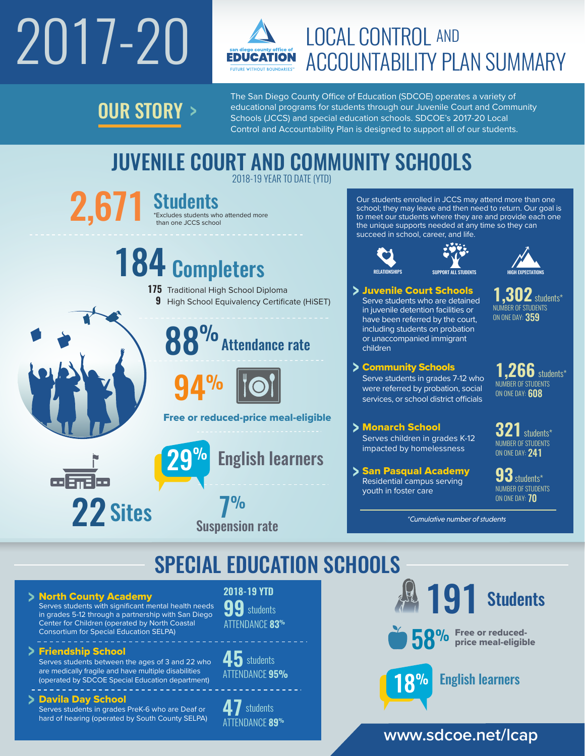# 2017-20



# LOCAL CONTROL AND ACCOUNTABILITY PLAN SUMMARY

**OUR STORY >** 

The San Diego County Office of Education (SDCOE) operates a variety of educational programs for students through our Juvenile Court and Community Schools (JCCS) and special education schools. SDCOE's 2017-20 Local Control and Accountability Plan is designed to support all of our students.

## JUVENILE COURT AND COMMUNITY SCHOOLS 2018-19 YEAR TO DATE (YTD)

 $2,671$  Students who attended more  $2,671$ \*Excludes students who attended more

# 184 Completers

- **175** Traditional High School Diploma
	- **9** High School Equivalency Certificate (HiSET)



**Attendance rate** 



Free or reduced-price meal-eligible

Suspension rate 7% **English learners**  Our students enrolled in JCCS may attend more than one school; they may leave and then need to return. Our goal is to meet our students where they are and provide each one the unique supports needed at any time so they can succeed in school, career, and life.



children

Juvenile Court Schools Serve students who are detained in juvenile detention facilities or have been referred by the court, including students on probation or unaccompanied immigrant

Community Schools

Serve students in grades 7-12 who were referred by probation, social services, or school district officials





**1,302** students\* NUMBER OF STUDENTS ON ONE DAY: 359

**1,266** students\* NUMBER OF STUDENTS ON ONE DAY: 608

Monarch School Serves children in grades K-12 impacted by homelessness

> San Pasqual Academy Residential campus serving youth in foster care

**321**students\* NUMBER OF STUDENTS ON ONE DAY: 241

**93**students\* NUMBER OF STUDENTS ON ONE DAY: **70** 

*\*Cumulative number of students*

# SPECIAL EDUCATION SCHOOLS

North County Academy Serves students with significant mental health needs in grades 5-12 through a partnership with San Diego Center for Children (operated by North Coastal

22 Sites

Consortium for Special Education SELPA)

## Friendship School

Serves students between the ages of 3 and 22 who are medically fragile and have multiple disabilities (operated by SDCOE Special Education department)

## Davila Day School

. . . . . . . . . . . . . . . . . .

Serves students in grades PreK-6 who are Deaf or hard of hearing (operated by South County SELPA)

## **2018-19 YTD**

**99** students ATTENDANCE **83%**

**45** students ATTENDANCE **95%**

**47** students ATTENDANCE **89%**



## **www.sdcoe.net/lcap**